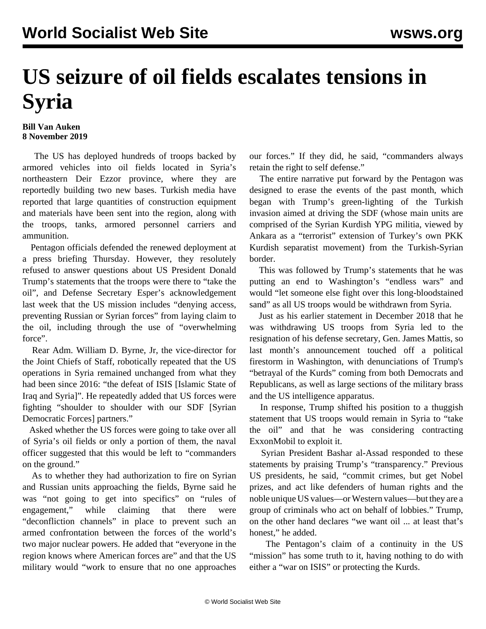## **US seizure of oil fields escalates tensions in Syria**

## **Bill Van Auken 8 November 2019**

 The US has deployed hundreds of troops backed by armored vehicles into oil fields located in Syria's northeastern Deir Ezzor province, where they are reportedly building two new bases. Turkish media have reported that large quantities of construction equipment and materials have been sent into the region, along with the troops, tanks, armored personnel carriers and ammunition.

 Pentagon officials defended the renewed deployment at a press briefing Thursday. However, they resolutely refused to answer questions about US President Donald Trump's statements that the troops were there to "take the oil", and Defense Secretary Esper's acknowledgement last week that the US mission includes "denying access, preventing Russian or Syrian forces" from laying claim to the oil, including through the use of "overwhelming force".

 Rear Adm. William D. Byrne, Jr, the vice-director for the Joint Chiefs of Staff, robotically repeated that the US operations in Syria remained unchanged from what they had been since 2016: "the defeat of ISIS [Islamic State of Iraq and Syria]". He repeatedly added that US forces were fighting "shoulder to shoulder with our SDF [Syrian Democratic Forces] partners."

 Asked whether the US forces were going to take over all of Syria's oil fields or only a portion of them, the naval officer suggested that this would be left to "commanders on the ground."

 As to whether they had authorization to fire on Syrian and Russian units approaching the fields, Byrne said he was "not going to get into specifics" on "rules of engagement," while claiming that there were "deconfliction channels" in place to prevent such an armed confrontation between the forces of the world's two major nuclear powers. He added that "everyone in the region knows where American forces are" and that the US military would "work to ensure that no one approaches

our forces." If they did, he said, "commanders always retain the right to self defense."

 The entire narrative put forward by the Pentagon was designed to erase the events of the past month, which began with Trump's green-lighting of the Turkish invasion aimed at driving the SDF (whose main units are comprised of the Syrian Kurdish YPG militia, viewed by Ankara as a "terrorist" extension of Turkey's own PKK Kurdish separatist movement) from the Turkish-Syrian border.

 This was followed by Trump's statements that he was putting an end to Washington's "endless wars" and would "let someone else fight over this long-bloodstained sand" as all US troops would be withdrawn from Syria.

 Just as his earlier statement in December 2018 that he was withdrawing US troops from Syria led to the resignation of his defense secretary, Gen. James Mattis, so last month's announcement touched off a political firestorm in Washington, with denunciations of Trump's "betrayal of the Kurds" coming from both Democrats and Republicans, as well as large sections of the military brass and the US intelligence apparatus.

 In response, Trump shifted his position to a thuggish statement that US troops would remain in Syria to "take the oil" and that he was considering contracting ExxonMobil to exploit it.

 Syrian President Bashar al-Assad responded to these statements by praising Trump's "transparency." Previous US presidents, he said, "commit crimes, but get Nobel prizes, and act like defenders of human rights and the noble unique US values—or Western values—but they are a group of criminals who act on behalf of lobbies." Trump, on the other hand declares "we want oil ... at least that's honest," he added.

 The Pentagon's claim of a continuity in the US "mission" has some truth to it, having nothing to do with either a "war on ISIS" or protecting the Kurds.